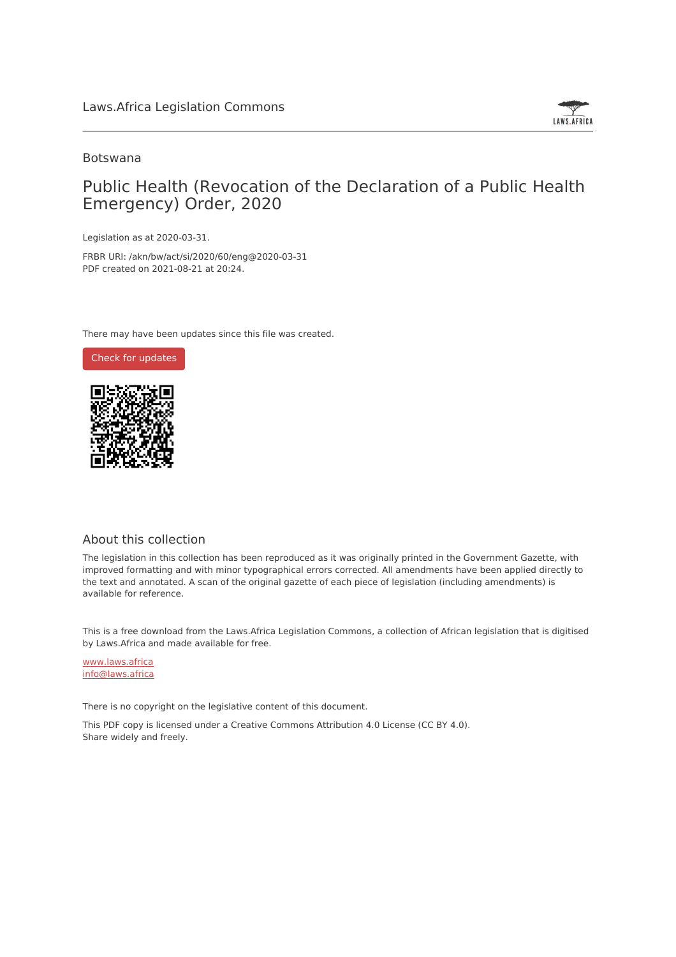

### Botswana

## Public Health (Revocation of the Declaration of a Public Health Emergency) Order, 2020

Legislation as at 2020-03-31.

FRBR URI: /akn/bw/act/si/2020/60/eng@2020-03-31 PDF created on 2021-08-21 at 20:24.

There may have been updates since this file was created.



### About this collection

The legislation in this collection has been reproduced as it was originally printed in the Government Gazette, with improved formatting and with minor typographical errors corrected. All amendments have been applied directly to the text and annotated. A scan of the original gazette of each piece of legislation (including amendments) is available for reference.

This is a free download from the Laws.Africa Legislation Commons, a collection of African legislation that is digitised by Laws.Africa and made available for free.

[www.laws.africa](https://www.laws.africa) [info@laws.africa](mailto:info@laws.africa)

There is no copyright on the legislative content of this document.

This PDF copy is licensed under a Creative Commons Attribution 4.0 License (CC BY 4.0). Share widely and freely.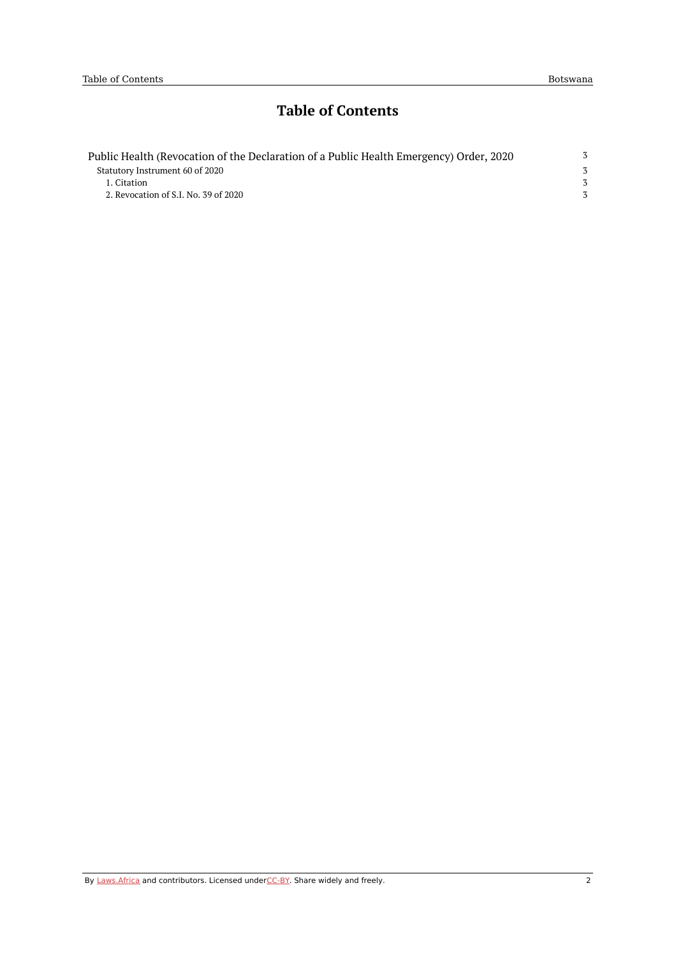# **Table of Contents**

| Public Health (Revocation of the Declaration of a Public Health Emergency) Order, 2020 | 3 |
|----------------------------------------------------------------------------------------|---|
| Statutory Instrument 60 of 2020                                                        |   |
| 1. Citation                                                                            |   |
| 2. Revocation of S.I. No. 39 of 2020                                                   |   |